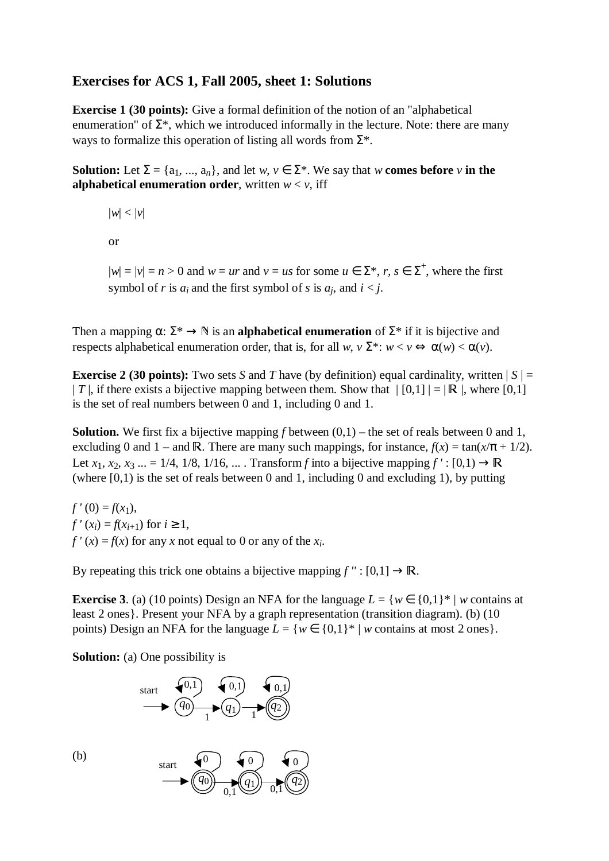# **Exercises for ACS 1, Fall 2005, sheet 1: Solutions**

**Exercise 1 (30 points):** Give a formal definition of the notion of an "alphabetical enumeration" of  $\Sigma^*$ , which we introduced informally in the lecture. Note: there are many ways to formalize this operation of listing all words from  $\Sigma^*$ .

**Solution:** Let  $\Sigma = \{a_1, ..., a_n\}$ , and let  $w, v \in \Sigma^*$ . We say that  $w$  **comes before**  $v$  in the **alphabetical enumeration order**, written  $w < v$ , iff

 $|w| < |v|$ or

 $|w| = |v| = n > 0$  and  $w = ur$  and  $v = us$  for some  $u \in \Sigma^*$ ,  $r, s \in \Sigma^+$ , where the first symbol of *r* is  $a_i$  and the first symbol of *s* is  $a_i$ , and  $i < j$ .

Then a mapping  $\alpha: \Sigma^* \to \mathbb{N}$  is an **alphabetical enumeration** of  $\Sigma^*$  if it is bijective and respects alphabetical enumeration order, that is, for all *w*,  $v \Sigma^*$ :  $w < v \Leftrightarrow \alpha(w) < \alpha(v)$ .

**Exercise 2 (30 points):** Two sets *S* and *T* have (by definition) equal cardinality, written  $|S| =$ |*T* |, if there exists a bijective mapping between them. Show that  $| [0,1] | = | \mathbb{R} |$ , where [0,1] is the set of real numbers between 0 and 1 including 0 and 1 is the set of real numbers between 0 and 1, including 0 and 1.

**Solution.** We first fix a bijective mapping *f* between (0,1) – the set of reals between 0 and 1, excluding 0 and 1 – and R. There are many such mappings, for instance,  $f(x) = \tan(x/\pi + 1/2)$ .<br>Let  $x_1, x_2, \ldots = 1/4$ ,  $1/8$ ,  $1/16$ . Transform fints a bijective mapping  $f'(t, [0, 1)$ . Let *x*<sub>1</sub>, *x*<sub>2</sub>, *x*<sub>3</sub> ... = 1/4, 1/8, 1/16, ... . Transform *f* into a bijective mapping  $f' : [0,1) \rightarrow \mathbb{R}$ <br>(where [0, 1) is the set of reals between 0 and 1 including 0 and excluding 1) by putting (where  $[0,1)$  is the set of reals between 0 and 1, including 0 and excluding 1), by putting

 $f'(0) = f(x_1)$ , *f'*  $(x_i) = f(x_{i+1})$  for  $i \ge 1$ ,  $f'(x) = f(x)$  for any *x* not equal to 0 or any of the  $x_i$ .

By repeating this trick one obtains a bijective mapping  $f'' : [0,1] \to \mathbb{R}$ .

**Exercise 3.** (a) (10 points) Design an NFA for the language  $L = \{w \in \{0,1\}^* | w \text{ contains at } \}$ least 2 ones}. Present your NFA by a graph representation (transition diagram). (b) (10 points) Design an NFA for the language  $L = \{w \in \{0,1\}^* \mid w \text{ contains at most } 2 \text{ ones}\}.$ 

**Solution:** (a) One possibility is

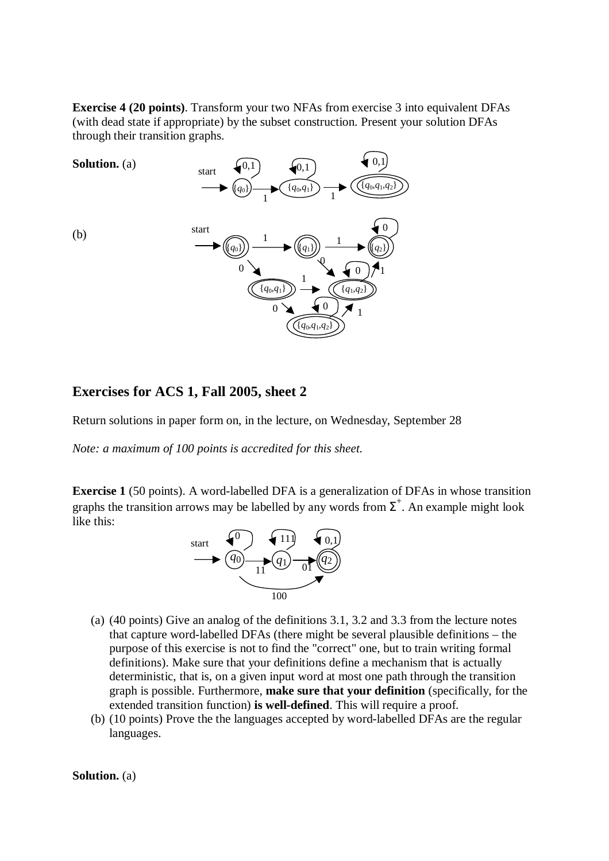**Exercise 4 (20 points)**. Transform your two NFAs from exercise 3 into equivalent DFAs (with dead state if appropriate) by the subset construction. Present your solution DFAs through their transition graphs.



### **Exercises for ACS 1, Fall 2005, sheet 2**

Return solutions in paper form on, in the lecture, on Wednesday, September 28

*Note: a maximum of 100 points is accredited for this sheet.* 

**Exercise 1** (50 points). A word-labelled DFA is a generalization of DFAs in whose transition graphs the transition arrows may be labelled by any words from  $\Sigma^{+}$ . An example might look like this:



- (a) (40 points) Give an analog of the definitions 3.1, 3.2 and 3.3 from the lecture notes that capture word-labelled DFAs (there might be several plausible definitions – the purpose of this exercise is not to find the "correct" one, but to train writing formal definitions). Make sure that your definitions define a mechanism that is actually deterministic, that is, on a given input word at most one path through the transition graph is possible. Furthermore, **make sure that your definition** (specifically, for the extended transition function) **is well-defined**. This will require a proof.
- (b) (10 points) Prove the the languages accepted by word-labelled DFAs are the regular languages.

**Solution.** (a)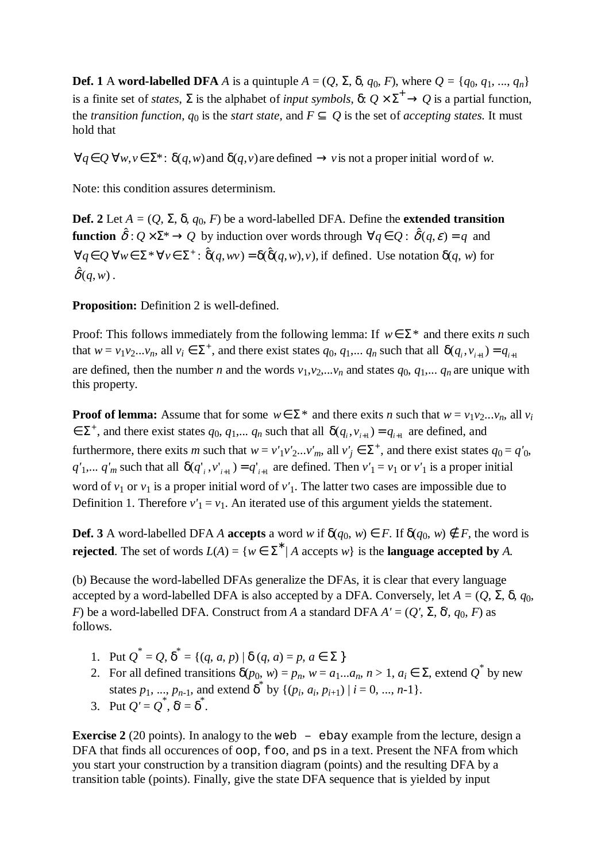**Def. 1** A **word-labelled DFA** *A* is a quintuple  $A = (Q, \Sigma, \delta, q_0, F)$ , where  $Q = \{q_0, q_1, ..., q_n\}$ is a finite set of *states*,  $\Sigma$  is the alphabet of *input symbols*,  $\delta: Q \times \Sigma^+ \to Q$  is a partial function, the *transition function*,  $q_0$  is the *start state*, and  $F \subseteq Q$  is the set of *accepting states*. It must hold that

 $\forall q \in Q$   $\forall w, v \in \Sigma^*$ :  $\delta(q, w)$  and  $\delta(q, v)$  are defined  $\rightarrow v$  is not a proper initial word of *w*.

Note: this condition assures determinism.

**Def.** 2 Let  $A = (Q, \Sigma, \delta, q_0, F)$  be a word-labelled DFA. Define the **extended transition function**  $\hat{\delta}: Q \times \Sigma^* \to Q$  by induction over words through  $\forall q \in Q: \hat{\delta}(q, \varepsilon) = q$  and  $\forall q \in \mathcal{Q}$   $\forall w \in \Sigma^* \forall v \in \Sigma^* : \hat{\delta}(q, wv) = \delta(\hat{\delta}(q, w), v)$ , if defined. Use notation  $\delta(q, w)$  for  $\hat{\delta}(q, w)$  .

**Proposition:** Definition 2 is well-defined.

Proof: This follows immediately from the following lemma: If  $w \in \Sigma^*$  and there exits *n* such that  $w = v_1v_2...v_n$ , all  $v_i \in \Sigma^+$ , and there exist states  $q_0, q_1,..., q_n$  such that all  $\delta(q_i, v_{i+1}) = q_{i+1}$ are defined, then the number *n* and the words  $v_1, v_2,...v_n$  and states  $q_0, q_1,..., q_n$  are unique with this property.

**Proof of lemma:** Assume that for some  $w \in \Sigma^*$  and there exits *n* such that  $w = v_1v_2...v_n$ , all  $v_i$  $\in \Sigma^+$ , and there exist states  $q_0, q_1,..., q_n$  such that all  $\delta(q_i, v_{i+1}) = q_{i+1}$  are defined, and furthermore, there exits *m* such that  $w = v'_{1}v'_{2}...v'_{m}$ , all  $v'_{j} \in \Sigma^{+}$ , and there exist states  $q_{0} = q'_{0}$ ,  $q'$ <sub>1</sub>,...  $q'$ <sub>*m*</sub> such that all  $\delta(q'_{i}, v'_{i+1}) = q'_{i+1}$  are defined. Then  $v'_{1} = v_{1}$  or  $v'_{1}$  is a proper initial word of  $v_1$  or  $v_1$  is a proper initial word of  $v'_1$ . The latter two cases are impossible due to Definition 1. Therefore  $v'_1 = v_1$ . An iterated use of this argument yields the statement.

**Def.** 3 A word-labelled DFA *A* **accepts** a word *w* if  $\delta(q_0, w) \in F$ . If  $\delta(q_0, w) \notin F$ , the word is **rejected**. The set of words  $L(A) = \{w \in \Sigma^* | A \text{ accepts } w\}$  is the **language accepted by** A.

(b) Because the word-labelled DFAs generalize the DFAs, it is clear that every language accepted by a word-labelled DFA is also accepted by a DFA. Conversely, let  $A = (Q, \Sigma, \delta, q_0)$ , *F*) be a word-labelled DFA. Construct from *A* a standard DFA  $A' = (Q', \Sigma, \delta', q_0, F)$  as follows.

- 1. Put  $Q^* = Q$ ,  $\delta^* = \{(q, a, p) | \delta(q, a) = p, a \in \Sigma \}$
- 2. For all defined transitions  $\delta(p_0, w) = p_n$ ,  $w = a_1...a_n$ ,  $n > 1$ ,  $a_i \in \Sigma$ , extend  $Q^*$  by new states  $p_1, ..., p_{n-1}$ , and extend  $\delta^*$  by  $\{(p_i, a_i, p_{i+1}) \mid i = 0, ..., n-1\}$ .
- 3. Put  $Q' = Q^*$ ,  $\delta' = \delta^*$ .

**Exercise 2** (20 points). In analogy to the web – ebay example from the lecture, design a DFA that finds all occurences of  $\circ \circ p$ , foo, and ps in a text. Present the NFA from which you start your construction by a transition diagram (points) and the resulting DFA by a transition table (points). Finally, give the state DFA sequence that is yielded by input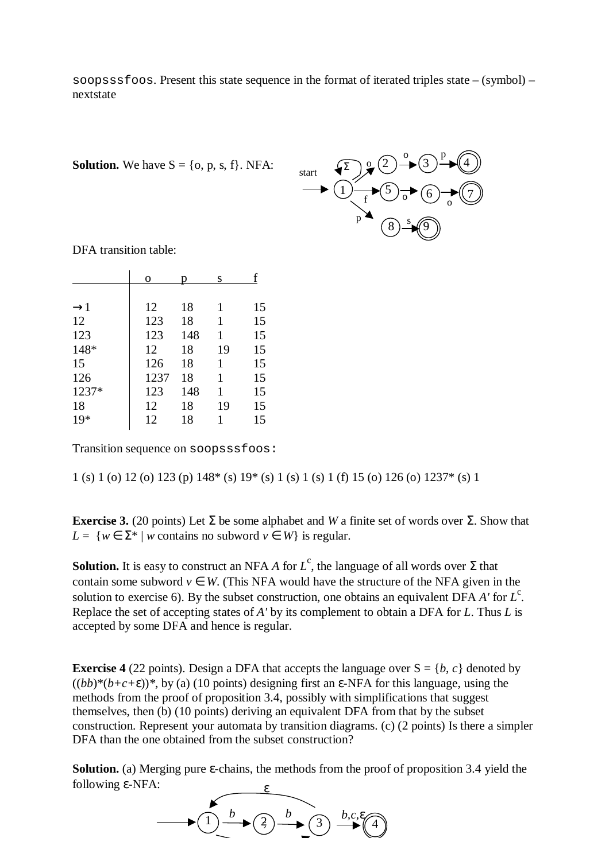soopsssfoos. Present this state sequence in the format of iterated triples state – (symbol) – nextstate

**Solution.** We have  $S = \{o, p, s, f\}$ . NFA:

 $\binom{p^*}{(8)-p}$ o o  $^{\circ}$  p o  $(5) \rightarrow (6) \rightarrow (7)$ 2  $\rightarrow (3)$   $\rightarrow$   $(4)$ 1 f start  $\big\{ \sum_{n=1}^{\infty} x^n \big\}$ 

DFA transition table:

|                 | 0    |     | S  |    |
|-----------------|------|-----|----|----|
|                 |      |     |    |    |
| $\rightarrow$ 1 | 12   | 18  | 1  | 15 |
| 12              | 123  | 18  | 1  | 15 |
| 123             | 123  | 148 | 1  | 15 |
| 148*            | 12   | 18  | 19 | 15 |
| 15              | 126  | 18  | 1  | 15 |
| 126             | 1237 | 18  | 1  | 15 |
| 1237*           | 123  | 148 | 1  | 15 |
| 18              | 12   | 18  | 19 | 15 |
| $19*$           | 12   | 18  | 1  | 15 |
|                 |      |     |    |    |

Transition sequence on soopsssfoos:

1 (s) 1 (o) 12 (o) 123 (p) 148\* (s) 19\* (s) 1 (s) 1 (s) 1 (f) 15 (o) 126 (o) 1237\* (s) 1

**Exercise 3.** (20 points) Let  $\Sigma$  be some alphabet and *W* a finite set of words over  $\Sigma$ . Show that *L* = { $w \in \Sigma^*$  | *w* contains no subword  $v \in W$ } is regular.

**Solution.** It is easy to construct an NFA *A* for  $L^c$ , the language of all words over  $\Sigma$  that contain some subword  $v \in W$ . (This NFA would have the structure of the NFA given in the solution to exercise 6). By the subset construction, one obtains an equivalent DFA  $A'$  for  $L^c$ . Replace the set of accepting states of *A'* by its complement to obtain a DFA for *L*. Thus *L* is accepted by some DFA and hence is regular.

**Exercise 4** (22 points). Design a DFA that accepts the language over  $S = \{b, c\}$  denoted by  $((bb)^*(b+c+\epsilon))^*$ , by (a) (10 points) designing first an  $\epsilon$ -NFA for this language, using the methods from the proof of proposition 3.4, possibly with simplifications that suggest themselves, then (b) (10 points) deriving an equivalent DFA from that by the subset construction. Represent your automata by transition diagrams. (c) (2 points) Is there a simpler DFA than the one obtained from the subset construction?

**Solution.** (a) Merging pure ε-chains, the methods from the proof of proposition 3.4 yield the following ε-NFA:

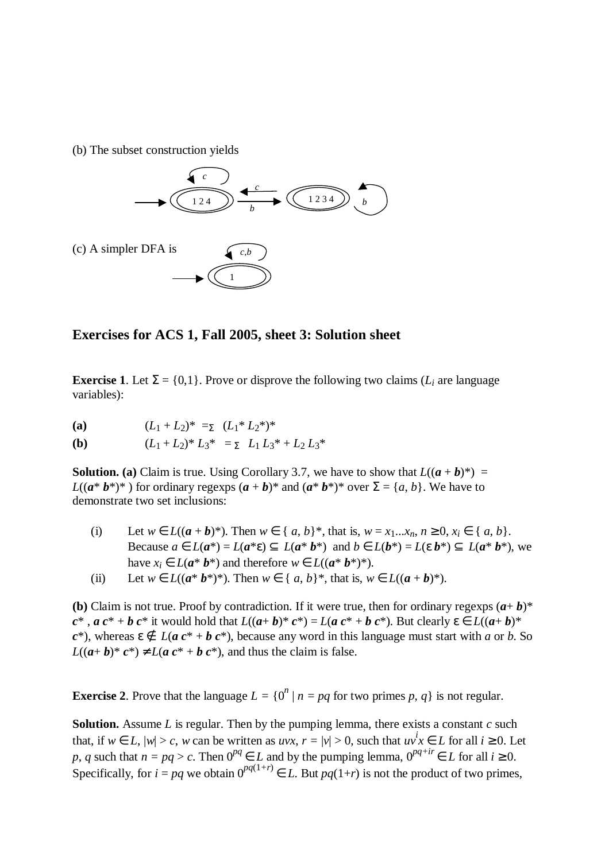(b) The subset construction yields



**Exercises for ACS 1, Fall 2005, sheet 3: Solution sheet**

**Exercise 1.** Let  $\Sigma = \{0,1\}$ . Prove or disprove the following two claims ( $L_i$  are language variables):

**(a)**  $(L_1 + L_2)^* = \sum_{k=1}^{\infty} (L_1^* L_2^*)^*$ 

**(b)** 
$$
(L_1 + L_2)^* L_3^* = \sum L_1 L_3^* + L_2 L_3^*
$$

**Solution.** (a) Claim is true. Using Corollary 3.7, we have to show that  $L((a + b)^*) =$ *L*(( $a^* b^*$ )\*) for ordinary regexps  $(a + b)^*$  and  $(a^* b^*)^*$  over  $\Sigma = \{a, b\}$ . We have to demonstrate two set inclusions:

- (i) Let  $w \in L((a + b)^*)$ . Then  $w \in \{a, b\}^*$ , that is,  $w = x_1...x_n$ ,  $n \ge 0$ ,  $x_i \in \{a, b\}$ . Because  $a \in L(a^*) = L(a^* \varepsilon) \subseteq L(a^* b^*)$  and  $b \in L(b^*) = L(\varepsilon b^*) \subseteq L(a^* b^*)$ , we have  $x_i \in L(a^* b^*)$  and therefore  $w \in L((a^* b^*)^*)$ .
- (ii) Let  $w \in L((a^* b^*)^*)$ . Then  $w \in \{a, b\}^*$ , that is,  $w \in L((a + b)^*)$ .

**(b)** Claim is not true. Proof by contradiction. If it were true, then for ordinary regexps  $(a + b)^*$  $c^*$ ,  $ac^* + b c^*$  it would hold that  $L((a+b)^* c^*) = L(a c^* + b c^*)$ . But clearly  $\varepsilon \in L((a+b)^*$  $c^*$ ), whereas  $\epsilon \notin L(a c^* + b c^*)$ , because any word in this language must start with *a* or *b*. So  $L((a+b)^* c^*) \neq L(a c^* + b c^*)$ , and thus the claim is false.

**Exercise 2**. Prove that the language  $L = \{0^n | n = pq \text{ for two primes } p, q\}$  is not regular.

**Solution.** Assume *L* is regular. Then by the pumping lemma, there exists a constant *c* such that, if  $w \in L$ ,  $|w| > c$ , w can be written as  $uvx$ ,  $r = |v| > 0$ , such that  $uvx \in L$  for all  $i \ge 0$ . Let *p*, *q* such that  $n = pq > c$ . Then  $0^{pq} ∈ L$  and by the pumping lemma,  $0^{pq+ir} ∈ L$  for all  $i ≥ 0$ . Specifically, for  $i = pq$  we obtain  $0^{pq(1+r)} \in L$ . But  $pq(1+r)$  is not the product of two primes,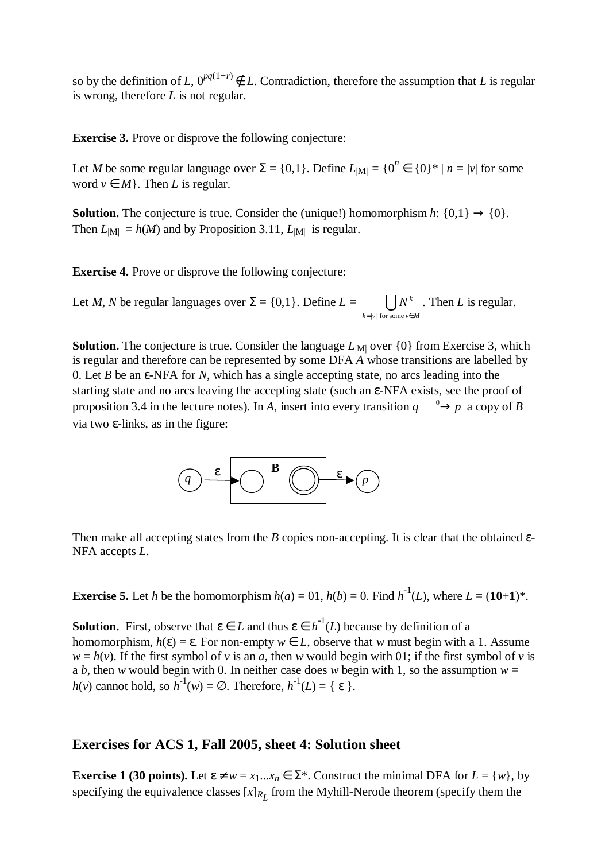so by the definition of *L*,  $0^{pq(1+r)} \notin L$ . Contradiction, therefore the assumption that *L* is regular is wrong, therefore *L* is not regular.

**Exercise 3.** Prove or disprove the following conjecture:

Let *M* be some regular language over  $\Sigma = \{0,1\}$ . Define  $L_{|M|} = \{0^n \in \{0\}^* | n = |v| \text{ for some } v \in \mathbb{R}\}$ word  $v \in M$ . Then *L* is regular.

**Solution.** The conjecture is true. Consider the (unique!) homomorphism  $h: \{0,1\} \rightarrow \{0\}$ . Then  $L_{\text{[M]}} = h(M)$  and by Proposition 3.11,  $L_{\text{[M]}}$  is regular.

**Exercise 4.** Prove or disprove the following conjecture:

Let *M*, *N* be regular languages over  $\Sigma = \{0,1\}$ . Define  $L = \bigcup_{k=|v| \text{ for some } v \in M} N^k$ . Then *L* is regular.  $=|v|$  for some  $v \in$ 

**Solution.** The conjecture is true. Consider the language  $L_{\text{[M]}}$  over  $\{0\}$  from Exercise 3, which is regular and therefore can be represented by some DFA *A* whose transitions are labelled by 0. Let *B* be an ε-NFA for *N*, which has a single accepting state, no arcs leading into the starting state and no arcs leaving the accepting state (such an ε-NFA exists, see the proof of proposition 3.4 in the lecture notes). In *A*, insert into every transition  $q \xrightarrow{0} p$  a copy of *B* via two ε-links, as in the figure:



Then make all accepting states from the *B* copies non-accepting. It is clear that the obtained ε-NFA accepts *L*.

**Exercise 5.** Let *h* be the homomorphism  $h(a) = 0.$ ,  $h(b) = 0$ . Find  $h^{-1}(L)$ , where  $L = (10+1)^*$ .

**Solution.** First, observe that  $\varepsilon \in L$  and thus  $\varepsilon \in h^{-1}(L)$  because by definition of a homomorphism,  $h(\varepsilon) = \varepsilon$ . For non-empty  $w \in L$ , observe that *w* must begin with a 1. Assume  $w = h(v)$ . If the first symbol of *v* is an *a*, then *w* would begin with 01; if the first symbol of *v* is a *b*, then *w* would begin with 0. In neither case does *w* begin with 1, so the assumption  $w =$  $h(v)$  cannot hold, so  $h^{-1}(w) = \emptyset$ . Therefore,  $h^{-1}(L) = \{ \varepsilon \}.$ 

## **Exercises for ACS 1, Fall 2005, sheet 4: Solution sheet**

**Exercise 1 (30 points).** Let  $\varepsilon \neq w = x_1...x_n \in \Sigma^*$ . Construct the minimal DFA for  $L = \{w\}$ , by specifying the equivalence classes  $[x]_{R_L}$  from the Myhill-Nerode theorem (specify them the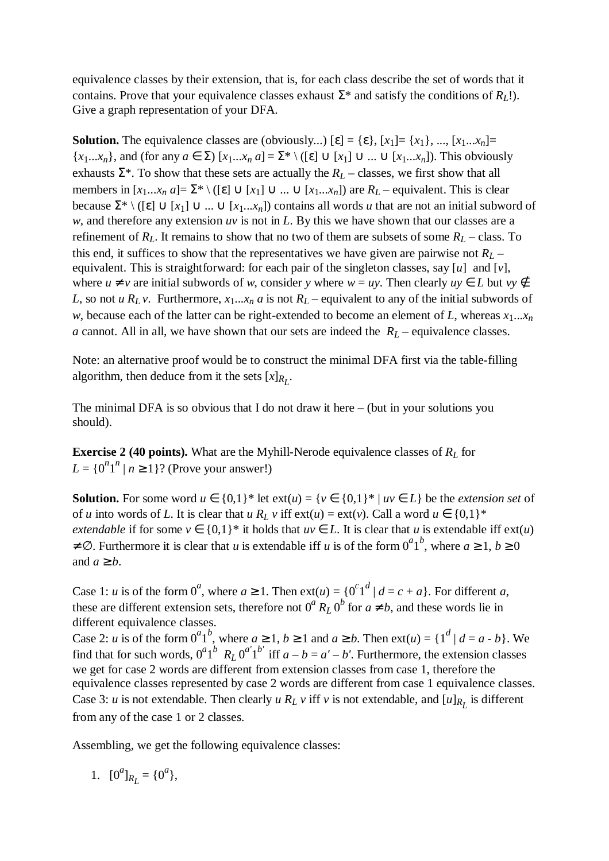equivalence classes by their extension, that is, for each class describe the set of words that it contains. Prove that your equivalence classes exhaust  $\Sigma^*$  and satisfy the conditions of  $R_L$ !). Give a graph representation of your DFA.

**Solution.** The equivalence classes are (obviously...)  $[\varepsilon] = {\varepsilon}, [x_1] = {x_1}, ..., [x_1...x_n] =$  $\{x_1...x_n\}$ , and (for any  $a \in \Sigma$ )  $[x_1...x_n a] = \Sigma^* \setminus ([\varepsilon] \cup [x_1] \cup ... \cup [x_1...x_n])$ . This obviously exhausts  $\Sigma^*$ . To show that these sets are actually the  $R_L$  – classes, we first show that all members in  $[x_1...x_n a] = \sum^* \setminus ([\varepsilon] \cup [x_1] \cup ... \cup [x_1...x_n])$  are  $R_L$  – equivalent. This is clear because  $\Sigma^* \setminus (\lceil \varepsilon \rceil \cup [x_1] \cup ... \cup [x_1...x_n])$  contains all words *u* that are not an initial subword of *w*, and therefore any extension *uv* is not in *L*. By this we have shown that our classes are a refinement of *RL*. It remains to show that no two of them are subsets of some *RL* – class. To this end, it suffices to show that the representatives we have given are pairwise not  $R_L$  – equivalent. This is straightforward: for each pair of the singleton classes, say [*u*] and [*v*], where  $u \neq v$  are initial subwords of *w*, consider *y* where  $w = uy$ . Then clearly  $uy \in L$  but  $vy \notin L$ *L*, so not *u*  $R_L v$ . Furthermore,  $x_1...x_n a$  is not  $R_L$  – equivalent to any of the initial subwords of *w*, because each of the latter can be right-extended to become an element of *L*, whereas  $x_1...x_n$ *a* cannot. All in all, we have shown that our sets are indeed the  $R_L$  – equivalence classes.

Note: an alternative proof would be to construct the minimal DFA first via the table-filling algorithm, then deduce from it the sets  $[x]_{R_L}$ .

The minimal DFA is so obvious that I do not draw it here – (but in your solutions you should).

**Exercise 2 (40 points).** What are the Myhill-Nerode equivalence classes of  $R_L$  for  $L = \{0^n1^n \mid n \ge 1\}$ ? (Prove your answer!)

**Solution.** For some word  $u \in \{0,1\}^*$  let  $ext(u) = \{v \in \{0,1\}^* | uv \in L\}$  be the *extension set* of of *u* into words of *L*. It is clear that  $u R_L v$  iff  $ext(u) = ext(v)$ . Call a word  $u \in \{0,1\}^*$ *extendable* if for some  $v \in \{0,1\}^*$  it holds that  $uv \in L$ . It is clear that *u* is extendable iff  $ext(u)$  $\neq \emptyset$ . Furthermore it is clear that *u* is extendable iff *u* is of the form  $0^a1^b$ , where  $a \geq 1$ ,  $b \geq 0$ and  $a \geq b$ .

Case 1: *u* is of the form  $0^a$ , where  $a \ge 1$ . Then  $ext(u) = \{0^c1^d \mid d = c + a\}$ . For different *a*, these are different extension sets, therefore not  $0^a R_L 0^b$  for  $a \neq b$ , and these words lie in different equivalence classes.

Case 2: *u* is of the form  $0^a1^b$ , where  $a \ge 1$ ,  $b \ge 1$  and  $a \ge b$ . Then  $ext(u) = \{1^d | d = a \cdot b\}$ . We find that for such words,  $0^a1^b$   $R_L 0^{a'}1^{b'}$  iff  $a - b = a' - b'$ . Furthermore, the extension classes we get for case 2 words are different from extension classes from case 1, therefore the equivalence classes represented by case 2 words are different from case 1 equivalence classes. Case 3: *u* is not extendable. Then clearly *u*  $R_L$  *v* iff *v* is not extendable, and  $[u]_{R_L}$  is different from any of the case 1 or 2 classes.

Assembling, we get the following equivalence classes:

1. 
$$
[0^a]_{R_L} = \{0^a\},\
$$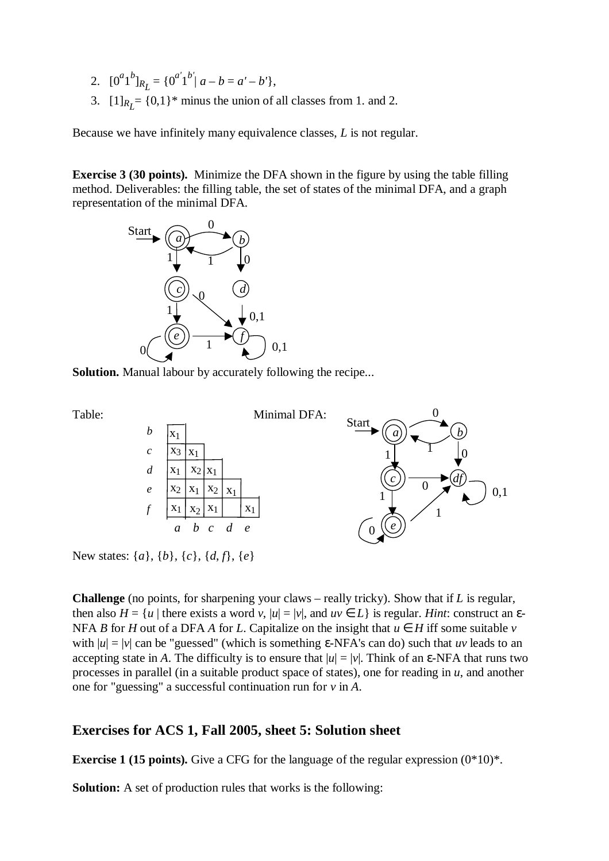- 2.  $[0^a1^b]_{R_L} = \{0^{a'}1^{b'} | a b = a' b'\},$
- 3.  $[1]_{R_L} = \{0,1\}^*$  minus the union of all classes from 1. and 2.

Because we have infinitely many equivalence classes, *L* is not regular.

**Exercise 3 (30 points).** Minimize the DFA shown in the figure by using the table filling method. Deliverables: the filling table, the set of states of the minimal DFA, and a graph representation of the minimal DFA.



**Solution.** Manual labour by accurately following the recipe...



New states: {*a*}, {*b*}, {*c*}, {*d*, *f*}, {*e*}

**Challenge** (no points, for sharpening your claws – really tricky). Show that if *L* is regular, then also  $H = \{u \mid \text{there exists a word } v, |u| = |v|, \text{ and } uv \in L\}$  is regular. *Hint*: construct an  $\varepsilon$ -NFA *B* for *H* out of a DFA *A* for *L*. Capitalize on the insight that  $u \in H$  iff some suitable *v* with  $|u| = |v|$  can be "guessed" (which is something  $\varepsilon$ -NFA's can do) such that *uv* leads to an accepting state in *A*. The difficulty is to ensure that  $|u| = |v|$ . Think of an  $\varepsilon$ -NFA that runs two processes in parallel (in a suitable product space of states), one for reading in *u*, and another one for "guessing" a successful continuation run for *v* in *A*.

### **Exercises for ACS 1, Fall 2005, sheet 5: Solution sheet**

**Exercise 1 (15 points).** Give a CFG for the language of the regular expression  $(0*10)*$ .

**Solution:** A set of production rules that works is the following: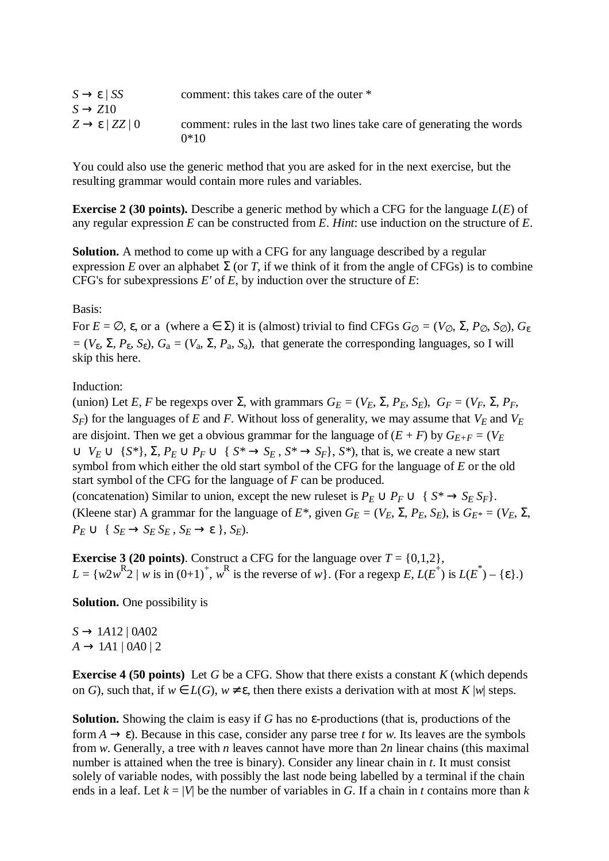| $S \rightarrow \varepsilon$   SS     | comment: this takes care of the outer *                                          |
|--------------------------------------|----------------------------------------------------------------------------------|
| $S \rightarrow Z10$                  |                                                                                  |
| $Z \rightarrow \varepsilon$   ZZ   0 | comment: rules in the last two lines take care of generating the words<br>$0*10$ |

You could also use the generic method that you are asked for in the next exercise, but the resulting grammar would contain more rules and variables.

**Exercise 2 (30 points).** Describe a generic method by which a CFG for the language *L*(*E*) of any regular expression *E* can be constructed from *E*. *Hint*: use induction on the structure of *E*.

**Solution.** A method to come up with a CFG for any language described by a regular expression *E* over an alphabet  $\Sigma$  (or *T*, if we think of it from the angle of CFGs) is to combine CFG's for subexpressions *E'* of *E*, by induction over the structure of *E*:

#### Basis:

For  $E = \emptyset$ ,  $\varepsilon$ , or a (where  $a \in \Sigma$ ) it is (almost) trivial to find CFGs  $G_{\emptyset} = (V_{\emptyset}, \Sigma, P_{\emptyset}, S_{\emptyset}), G_{\varepsilon}$  $= (V_{\varepsilon}, \Sigma, P_{\varepsilon}, S_{\varepsilon}), G_a = (V_a, \Sigma, P_a, S_a)$ , that generate the corresponding languages, so I will skip this here.

#### Induction:

(union) Let *E*, *F* be regexps over  $\Sigma$ , with grammars  $G_E = (V_E, \Sigma, P_E, S_E)$ ,  $G_F = (V_F, \Sigma, P_F, S_E)$  $S_F$ ) for the languages of *E* and *F*. Without loss of generality, we may assume that  $V_E$  and  $V_E$ are disjoint. Then we get a obvious grammar for the language of  $(E + F)$  by  $G_{E+F} = (V_E)$  $∪ V_E ∪ \{S^*\}, \Sigma, P_E ∪ P_F ∪ \{S^* → S_E, S^* → S_F\}, S^*$ , that is, we create a new start symbol from which either the old start symbol of the CFG for the language of *E* or the old start symbol of the CFG for the language of *F* can be produced. (concatenation) Similar to union, except the new ruleset is  $P_E \cup P_F \cup \{ S^* \rightarrow S_E S_F \}.$ (Kleene star) A grammar for the language of  $E^*$ , given  $G_E = (V_E, \Sigma, P_E, S_E)$ , is  $G_{E^*} = (V_E, \Sigma, P_E, S_E)$  $P_E \cup \{ S_E \rightarrow S_E S_E, S_E \rightarrow \varepsilon \}, S_E$ .

**Exercise 3 (20 points). Construct a CFG for the language over**  $T = \{0,1,2\}$ **,**  $L = \{w2w^{R}2 \mid w \text{ is in } (0+1)^{+}, w^{R} \text{ is the reverse of } w\}$ . (For a regexp *E*,  $L(E^{+})$  is  $L(E^{*}) - \{\epsilon\}$ .)

**Solution.** One possibility is

*S* → 1*A*12 | 0*A*02  $A \rightarrow 1A1 | 0A0 | 2$ 

**Exercise 4 (50 points)** Let *G* be a CFG. Show that there exists a constant *K* (which depends on *G*), such that, if  $w \in L(G)$ ,  $w \neq \varepsilon$ , then there exists a derivation with at most *K* |*w*| steps.

**Solution.** Showing the claim is easy if *G* has no ε-productions (that is, productions of the form  $A \to \varepsilon$ ). Because in this case, consider any parse tree *t* for *w*. Its leaves are the symbols from *w*. Generally, a tree with *n* leaves cannot have more than 2*n* linear chains (this maximal number is attained when the tree is binary). Consider any linear chain in *t*. It must consist solely of variable nodes, with possibly the last node being labelled by a terminal if the chain ends in a leaf. Let  $k = |V|$  be the number of variables in *G*. If a chain in *t* contains more than *k*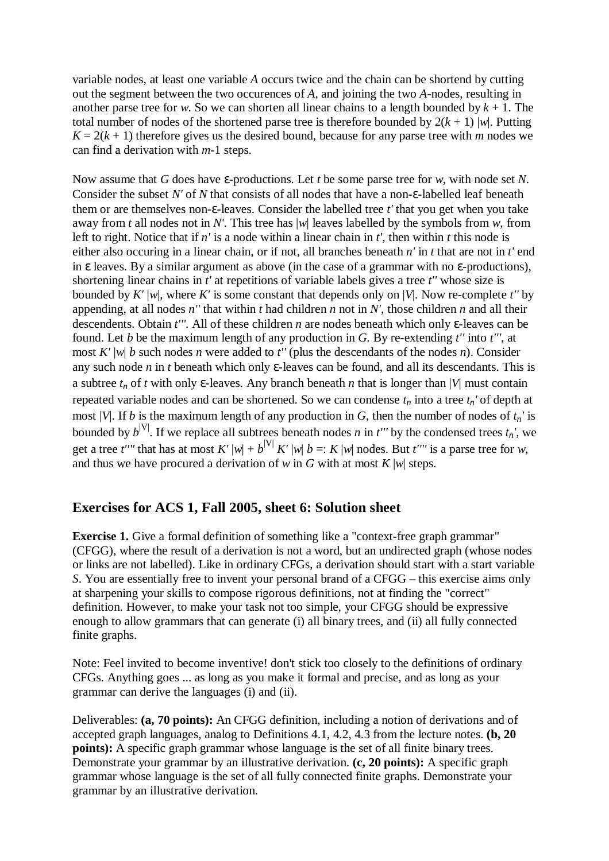variable nodes, at least one variable *A* occurs twice and the chain can be shortend by cutting out the segment between the two occurences of *A*, and joining the two *A-*nodes, resulting in another parse tree for *w*. So we can shorten all linear chains to a length bounded by  $k + 1$ . The total number of nodes of the shortened parse tree is therefore bounded by  $2(k + 1)$  |w|. Putting  $K = 2(k + 1)$  therefore gives us the desired bound, because for any parse tree with *m* nodes we can find a derivation with *m*-1 steps.

Now assume that *G* does have ε-productions. Let *t* be some parse tree for *w*, with node set *N*. Consider the subset *N'* of *N* that consists of all nodes that have a non-ε-labelled leaf beneath them or are themselves non-ε-leaves. Consider the labelled tree *t'* that you get when you take away from *t* all nodes not in *N'*. This tree has |*w*| leaves labelled by the symbols from *w*, from left to right. Notice that if *n'* is a node within a linear chain in *t'*, then within *t* this node is either also occuring in a linear chain, or if not, all branches beneath *n'* in *t* that are not in *t'* end in  $\varepsilon$  leaves. By a similar argument as above (in the case of a grammar with no  $\varepsilon$ -productions), shortening linear chains in *t'* at repetitions of variable labels gives a tree *t''* whose size is bounded by *K'* |*w*|, where *K'* is some constant that depends only on |*V*|. Now re-complete *t''* by appending, at all nodes *n''* that within *t* had children *n* not in *N'*, those children *n* and all their descendents. Obtain *t'''.* All of these children *n* are nodes beneath which only ε-leaves can be found. Let *b* be the maximum length of any production in *G.* By re-extending *t''* into *t'''*, at most *K'* |*w*| *b* such nodes *n* were added to *t''* (plus the descendants of the nodes *n*). Consider any such node *n* in *t* beneath which only ε-leaves can be found, and all its descendants. This is a subtree  $t_n$  of *t* with only  $\varepsilon$ -leaves. Any branch beneath *n* that is longer than |*V*| must contain repeated variable nodes and can be shortened. So we can condense  $t_n$  into a tree  $t_n$ ' of depth at most |*V*|. If *b* is the maximum length of any production in *G*, then the number of nodes of  $t_n$ ' is bounded by  $b^{|V|}$ . If we replace all subtrees beneath nodes *n* in *t'''* by the condensed trees  $t_n$ ', we get a tree *t*''' that has at most  $K'|w| + b^{|V|} K'|w| b =: K|w|$  nodes. But *t*''' is a parse tree for *w*, and thus we have procured a derivation of *w* in *G* with at most  $K |w|$  steps.

## **Exercises for ACS 1, Fall 2005, sheet 6: Solution sheet**

**Exercise 1.** Give a formal definition of something like a "context-free graph grammar" (CFGG), where the result of a derivation is not a word, but an undirected graph (whose nodes or links are not labelled). Like in ordinary CFGs, a derivation should start with a start variable *S*. You are essentially free to invent your personal brand of a CFGG – this exercise aims only at sharpening your skills to compose rigorous definitions, not at finding the "correct" definition. However, to make your task not too simple, your CFGG should be expressive enough to allow grammars that can generate (i) all binary trees, and (ii) all fully connected finite graphs.

Note: Feel invited to become inventive! don't stick too closely to the definitions of ordinary CFGs. Anything goes ... as long as you make it formal and precise, and as long as your grammar can derive the languages (i) and (ii).

Deliverables: **(a, 70 points):** An CFGG definition, including a notion of derivations and of accepted graph languages, analog to Definitions 4.1, 4.2, 4.3 from the lecture notes. **(b, 20 points):** A specific graph grammar whose language is the set of all finite binary trees. Demonstrate your grammar by an illustrative derivation. **(c, 20 points):** A specific graph grammar whose language is the set of all fully connected finite graphs. Demonstrate your grammar by an illustrative derivation.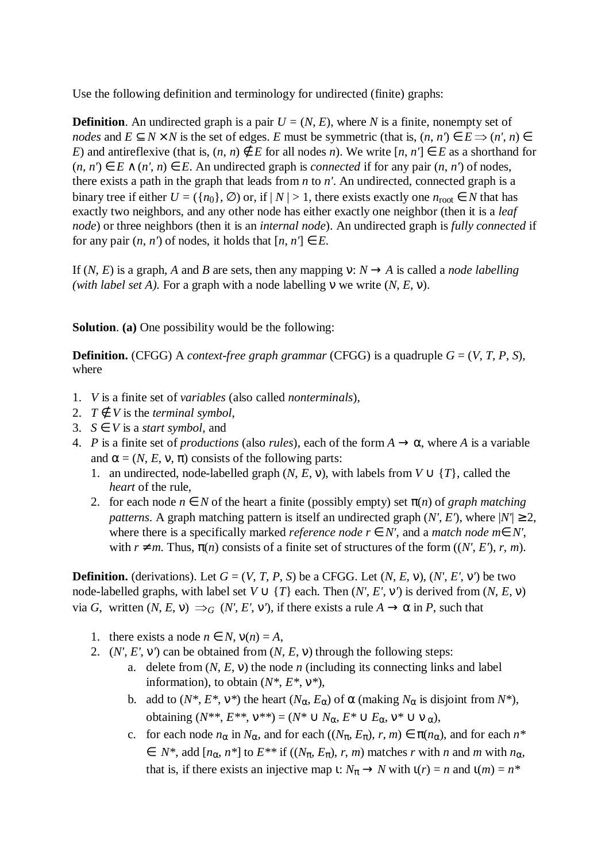Use the following definition and terminology for undirected (finite) graphs:

**Definition**. An undirected graph is a pair  $U = (N, E)$ , where *N* is a finite, nonempty set of *nodes* and  $E \subset N \times N$  is the set of edges. *E* must be symmetric (that is,  $(n, n') \in E \implies (n', n) \in$ *E*) and antireflexive (that is,  $(n, n) \notin E$  for all nodes *n*). We write  $[n, n'] \in E$  as a shorthand for (*n*, *n'*) ∈ *E* ∧ (*n'*, *n*) ∈ *E*. An undirected graph is *connected* if for any pair (*n*, *n'*) of nodes, there exists a path in the graph that leads from *n* to *n'*. An undirected, connected graph is a binary tree if either  $U = (\{n_0\}, \emptyset)$  or, if  $|N| > 1$ , there exists exactly one  $n_{\text{root}} \in N$  that has exactly two neighbors, and any other node has either exactly one neighbor (then it is a *leaf node*) or three neighbors (then it is an *internal node*). An undirected graph is *fully connected* if for any pair  $(n, n')$  of nodes, it holds that  $[n, n'] \in E$ .

If  $(N, E)$  is a graph, *A* and *B* are sets, then any mapping  $\nu: N \rightarrow A$  is called a *node labelling (with label set A).* For a graph with a node labelling ν we write (*N*, *E*, ν).

**Solution**. **(a)** One possibility would be the following:

**Definition.** (CFGG) A *context-free graph grammar* (CFGG) is a quadruple  $G = (V, T, P, S)$ , where

- 1. *V* is a finite set of *variables* (also called *nonterminals*),
- 2.  $T \notin V$  is the *terminal symbol*,
- 3.  $S \in V$  is a *start symbol*, and
- 4. *P* is a finite set of *productions* (also *rules*), each of the form  $A \to \alpha$ , where *A* is a variable and  $\alpha = (N, E, v, \pi)$  consists of the following parts:
	- 1. an undirected, node-labelled graph  $(N, E, v)$ , with labels from  $V \cup \{T\}$ , called the *heart* of the rule,
	- 2. for each node  $n \in N$  of the heart a finite (possibly empty) set  $\pi(n)$  of *graph matching patterns*. A graph matching pattern is itself an undirected graph  $(N', E')$ , where  $|N'| \geq 2$ , where there is a specifically marked *reference node*  $r \in N'$ , and a *match node*  $m \in N'$ , with  $r \neq m$ . Thus,  $\pi(n)$  consists of a finite set of structures of the form  $((N', E'), r, m)$ .

**Definition.** (derivations). Let  $G = (V, T, P, S)$  be a CFGG. Let  $(N, E, v)$ ,  $(N', E', v')$  be two node-labelled graphs, with label set  $V \cup \{T\}$  each. Then  $(N', E', V')$  is derived from  $(N, E, V)$ via *G*, written  $(N, E, v) \implies_G (N', E', v')$ , if there exists a rule  $A \to \alpha$  in *P*, such that

- 1. there exists a node  $n \in N$ ,  $v(n) = A$ ,
- 2. (*N'*, *E'*, ν*'*) can be obtained from (*N*, *E*, ν) through the following steps:
	- a. delete from  $(N, E, v)$  the node *n* (including its connecting links and label information), to obtain (*N\**, *E\**, ν*\**),
	- b. add to  $(N^*, E^*, v^*)$  the heart  $(N_\alpha, E_\alpha)$  of  $\alpha$  (making  $N_\alpha$  is disjoint from  $N^*$ ), obtaining  $(N^{**}, E^{**}, V^{**}) = (N^* \cup N_\alpha, E^* \cup E_\alpha, V^* \cup V_\alpha)$
	- c. for each node  $n_{\alpha}$  in  $N_{\alpha}$ , and for each  $((N_{\pi}, E_{\pi}), r, m) \in \pi(n_{\alpha})$ , and for each  $n^*$  $\in$  *N*\*, add  $[n_{\alpha}, n^*]$  to  $E^{**}$  if  $((N_{\pi}, E_{\pi}), r, m)$  matches *r* with *n* and *m* with  $n_{\alpha}$ , that is, if there exists an injective map  $\iota: N_\pi \to N$  with  $\iota(r) = n$  and  $\iota(m) = n^*$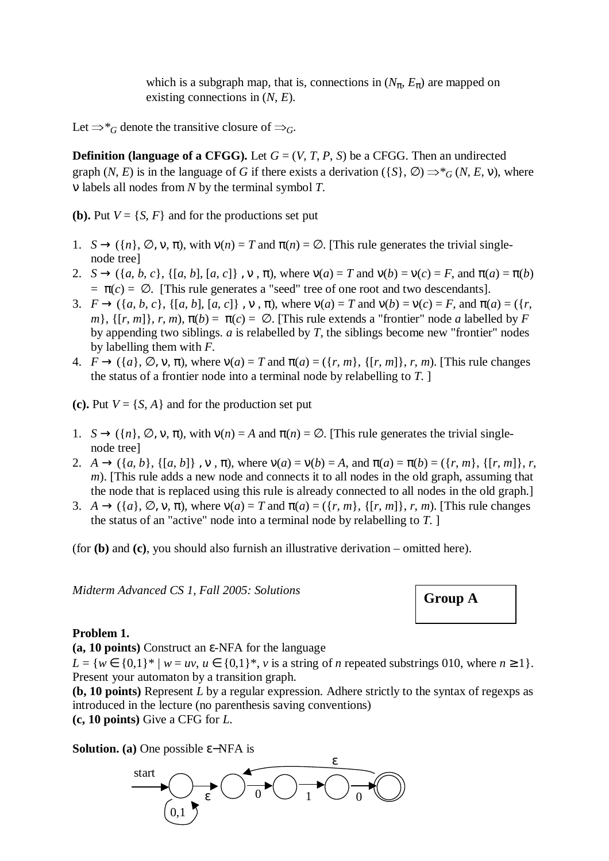which is a subgraph map, that is, connections in  $(N_\pi, E_\pi)$  are mapped on existing connections in (*N*, *E*).

Let  $\Rightarrow^*_{G}$  denote the transitive closure of  $\Rightarrow_{G}$ .

**Definition (language of a CFGG).** Let  $G = (V, T, P, S)$  be a CFGG. Then an undirected graph  $(N, E)$  is in the language of *G* if there exists a derivation  $(\{S\}, \emptyset) \Rightarrow^* G(N, E, v)$ , where ν labels all nodes from *N* by the terminal symbol *T*.

**(b).** Put  $V = \{S, F\}$  and for the productions set put

- 1.  $S \rightarrow (\lbrace n \rbrace, \emptyset, v, \pi)$ , with  $v(n) = T$  and  $\pi(n) = \emptyset$ . [This rule generates the trivial singlenode tree]
- 2. *S*  $\rightarrow$  ({*a, b, c*}, {[*a, b*], [*a, c*]},  $\nu$ ,  $\pi$ ), where  $\nu(a) = T$  and  $\nu(b) = \nu(c) = F$ , and  $\pi(a) = \pi(b)$  $= \pi(c) = \emptyset$ . [This rule generates a "seed" tree of one root and two descendants].
- 3.  $F \rightarrow (\{a, b, c\}, \{[a, b], [a, c]\}, \nu, \pi)$ , where  $v(a) = T$  and  $v(b) = v(c) = F$ , and  $\pi(a) = (\{r, c\}, \pi)$  $m$ },  $\{[r, m]\}, r, m$ ,  $\pi(b) = \pi(c) = \emptyset$ . [This rule extends a "frontier" node *a* labelled by *F* by appending two siblings. *a* is relabelled by *T*, the siblings become new "frontier" nodes by labelling them with *F*.
- 4.  $F \rightarrow (\{a\}, \emptyset, \nu, \pi)$ , where  $\nu(a) = T$  and  $\pi(a) = (\{r, m\}, \{[r, m]\}, r, m)$ . [This rule changes the status of a frontier node into a terminal node by relabelling to *T*. ]
- (c). Put  $V = \{S, A\}$  and for the production set put
- 1.  $S \rightarrow (\lbrace n \rbrace, \emptyset, \nu, \pi)$ , with  $v(n) = A$  and  $\pi(n) = \emptyset$ . [This rule generates the trivial singlenode tree]
- 2.  $A \rightarrow (\{a, b\}, \{[a, b]\}, \{v, \pi\})$ , where  $v(a) = v(b) = A$ , and  $\pi(a) = \pi(b) = (\{r, m\}, \{[r, m]\}, r,$ *m*). [This rule adds a new node and connects it to all nodes in the old graph, assuming that the node that is replaced using this rule is already connected to all nodes in the old graph.]
- 3.  $A \rightarrow (\lbrace a \rbrace, \emptyset, \nu, \pi)$ , where  $\nu(a) = T$  and  $\pi(a) = (\lbrace r, m \rbrace, \lbrace r, m \rbrace, r, m)$ . [This rule changes the status of an "active" node into a terminal node by relabelling to *T*. ]

(for **(b)** and **(c)**, you should also furnish an illustrative derivation – omitted here).

Midterm Advanced CS 1, Fall 2005: Solutions

#### **Problem 1.**

**(a, 10 points)** Construct an ε-NFA for the language

 $L = \{w \in \{0,1\}^* \mid w = uv, u \in \{0,1\}^*, v \text{ is a string of } n \text{ repeated substrings 010, where } n \ge 1\}.$ Present your automaton by a transition graph.

**(b, 10 points)** Represent *L* by a regular expression. Adhere strictly to the syntax of regexps as introduced in the lecture (no parenthesis saving conventions) **(c, 10 points)** Give a CFG for *L*.

**Solution.** (a) One possible ε–NFA is

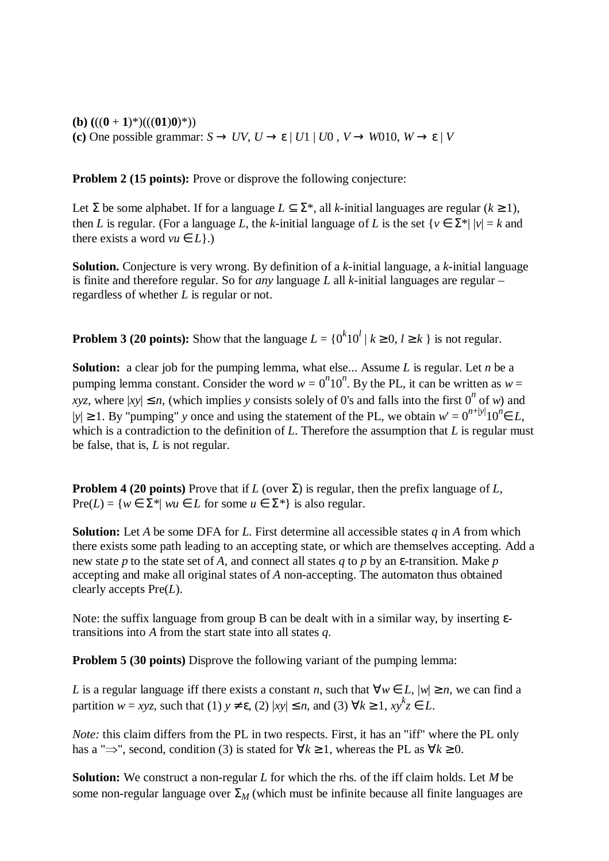**(b)**  $(((0+1)^*)(((01)0)^*))$ **(c)** One possible grammar:  $S \to UV$ ,  $U \to \varepsilon$  |  $U1$  |  $U0$  ,  $V \to W010$ ,  $W \to \varepsilon$  |  $V$ 

**Problem 2 (15 points):** Prove or disprove the following conjecture:

Let  $\Sigma$  be some alphabet. If for a language  $L \subset \Sigma^*$ , all *k*-initial languages are regular ( $k \ge 1$ ), then *L* is regular. (For a language *L*, the *k*-initial language of *L* is the set  $\{v \in \Sigma^* | |v| = k \text{ and }$ there exists a word  $vu \in L$ .)

**Solution.** Conjecture is very wrong. By definition of a *k*-initial language, a *k*-initial language is finite and therefore regular. So for *any* language *L* all *k*-initial languages are regular – regardless of whether *L* is regular or not.

**Problem 3 (20 points):** Show that the language  $L = \{0^k 10^l | k \ge 0, l \ge k\}$  is not regular.

**Solution:** a clear job for the pumping lemma, what else... Assume *L* is regular. Let *n* be a pumping lemma constant. Consider the word  $w = 0^n 10^n$ . By the PL, it can be written as  $w =$ *xyz*, where  $|xy| \le n$ , (which implies *y* consists solely of 0's and falls into the first 0<sup>n</sup> of *w*) and  $|y|$  ≥ 1. By "pumping" *y* once and using the statement of the PL, we obtain  $w' = 0^{n+|y|} 10^n \in L$ , which is a contradiction to the definition of *L*. Therefore the assumption that *L* is regular must be false, that is, *L* is not regular.

**Problem 4 (20 points)** Prove that if *L* (over  $\Sigma$ ) is regular, then the prefix language of *L*, Pre(*L*) = { $w \in \Sigma^*$ |  $wu \in L$  for some  $u \in \Sigma^*$ } is also regular.

**Solution:** Let *A* be some DFA for *L*. First determine all accessible states *q* in *A* from which there exists some path leading to an accepting state, or which are themselves accepting. Add a new state *p* to the state set of *A*, and connect all states *q* to *p* by an ε-transition. Make *p* accepting and make all original states of *A* non-accepting. The automaton thus obtained clearly accepts Pre(*L*).

Note: the suffix language from group B can be dealt with in a similar way, by inserting εtransitions into *A* from the start state into all states *q*.

**Problem 5 (30 points)** Disprove the following variant of the pumping lemma:

*L* is a regular language iff there exists a constant *n*, such that  $\forall w \in L$ ,  $|w| \ge n$ , we can find a partition  $w = xyz$ , such that (1)  $y \neq \varepsilon$ , (2)  $|xy| \leq n$ , and (3)  $\forall k \geq 1$ ,  $xy^kz \in L$ .

*Note*: this claim differs from the PL in two respects. First, it has an "iff" where the PL only has a " $\Rightarrow$ ", second, condition (3) is stated for  $\forall k \ge 1$ , whereas the PL as  $\forall k \ge 0$ .

**Solution:** We construct a non-regular *L* for which the rhs. of the iff claim holds. Let *M* be some non-regular language over  $\Sigma_M$  (which must be infinite because all finite languages are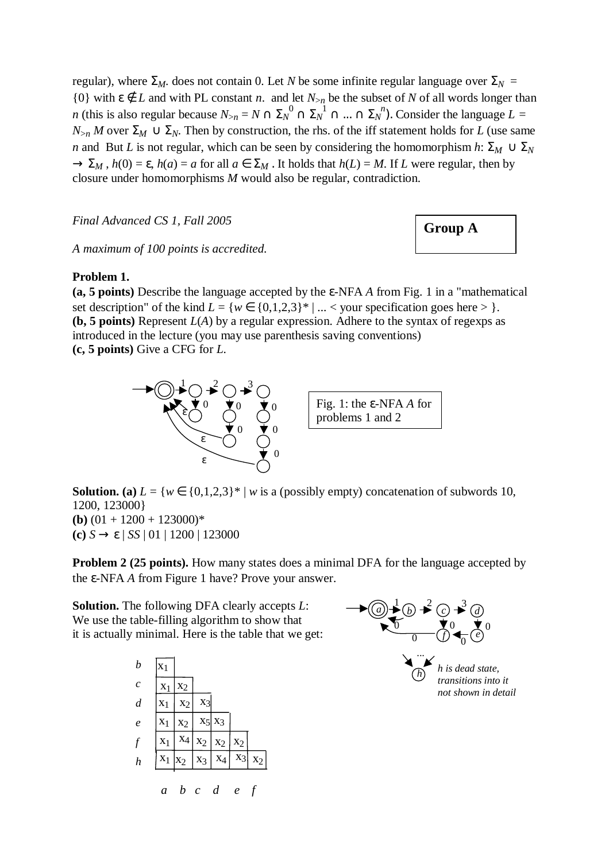regular), where  $\Sigma_M$ . does not contain 0. Let *N* be some infinite regular language over  $\Sigma_N$  = {0} with  $\varepsilon \notin L$  and with PL constant *n*. and let  $N_{>n}$  be the subset of *N* of all words longer than *n* (this is also regular because  $N_{>n} = N \cap \Sigma_N^0 \cap \Sigma_N^{-1} \cap ... \cap \Sigma_N^{-n}$ ). Consider the language  $L =$  $N_{\geq n} M$  over  $\Sigma_M \cup \Sigma_N$ . Then by construction, the rhs. of the iff statement holds for *L* (use same *n* and But *L* is not regular, which can be seen by considering the homomorphism *h*:  $\Sigma_M \cup \Sigma_N$  $\rightarrow \Sigma_M$ ,  $h(0) = \varepsilon$ ,  $h(a) = a$  for all  $a \in \Sigma_M$ . It holds that  $h(L) = M$ . If *L* were regular, then by closure under homomorphisms *M* would also be regular, contradiction.

Final Advanced CS 1, Fall 2005 **6 COVID A Group A** 

*A maximum of 100 points is accredited.* 

### **Problem 1.**

**(a, 5 points)** Describe the language accepted by the ε-NFA *A* from Fig. 1 in a "mathematical set description" of the kind  $L = \{w \in \{0,1,2,3\}^* \mid ... <$  your specification goes here  $> \}$ . **(b, 5 points)** Represent *L*(*A*) by a regular expression. Adhere to the syntax of regexps as introduced in the lecture (you may use parenthesis saving conventions) **(c, 5 points)** Give a CFG for *L*.



**Solution.** (a)  $L = \{w \in \{0,1,2,3\}^* \mid w \text{ is a (possibly empty) concatenation of subwords } 10$ , 1200, 123000} **(b)**  $(01 + 1200 + 123000)^*$ **(c)** *S* → ε | *SS* | 01 | 1200 | 123000

**Problem 2 (25 points).** How many states does a minimal DFA for the language accepted by the ε-NFA *A* from Figure 1 have? Prove your answer.

**Solution.** The following DFA clearly accepts *L*: We use the table-filling algorithm to show that it is actually minimal. Here is the table that we get:



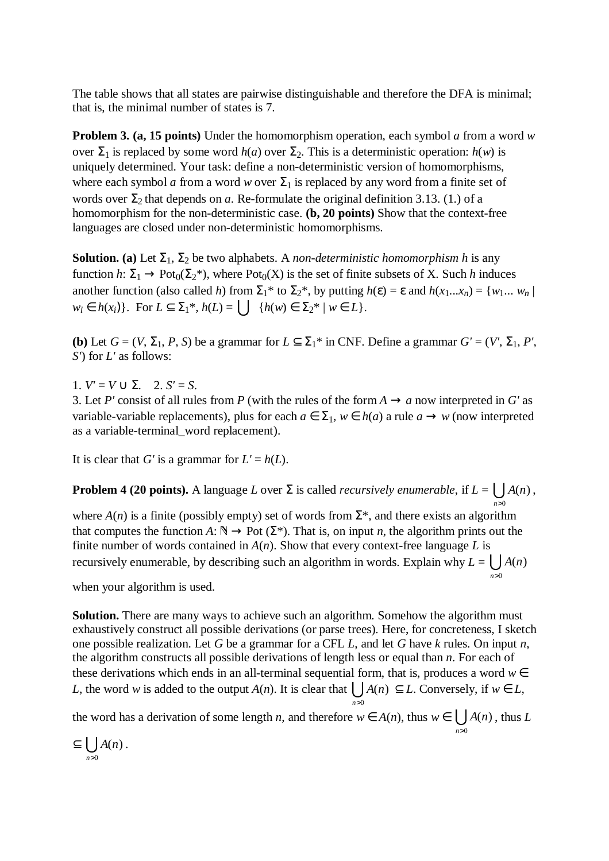The table shows that all states are pairwise distinguishable and therefore the DFA is minimal; that is, the minimal number of states is 7.

**Problem 3. (a, 15 points)** Under the homomorphism operation, each symbol *a* from a word *w* over  $\Sigma_1$  is replaced by some word *h*(*a*) over  $\Sigma_2$ . This is a deterministic operation: *h*(*w*) is uniquely determined. Your task: define a non-deterministic version of homomorphisms, where each symbol *a* from a word *w* over  $\Sigma_1$  is replaced by any word from a finite set of words over  $\Sigma_2$  that depends on *a*. Re-formulate the original definition 3.13. (1.) of a homomorphism for the non-deterministic case. **(b, 20 points)** Show that the context-free languages are closed under non-deterministic homomorphisms.

**Solution.** (a) Let  $\Sigma_1$ ,  $\Sigma_2$  be two alphabets. A *non-deterministic homomorphism h* is any function *h*:  $\Sigma_1 \rightarrow \text{Pot}_0(\Sigma_2^*)$ , where  $\text{Pot}_0(X)$  is the set of finite subsets of X. Such *h* induces another function (also called *h*) from  $\Sigma_1^*$  to  $\Sigma_2^*$ , by putting  $h(\varepsilon) = \varepsilon$  and  $h(x_1...x_n) = \{w_1... w_n\}$ *w<sub>i</sub>* ∈ *h*(*x<sub>i</sub>*)}. For *L* ⊆  $\Sigma_1$ <sup>\*</sup>, *h*(*L*) =  $\bigcup$  {*h*(*w*) ∈  $\Sigma_2$ <sup>\*</sup> | *w* ∈ *L*}.

**(b)** Let  $G = (V, \Sigma_1, P, S)$  be a grammar for  $L \subseteq \Sigma_1^*$  in CNF. Define a grammar  $G' = (V', \Sigma_1, P', S')$ *S'*) for *L'* as follows:

1.  $V' = V \cup \Sigma$ . 2.  $S' = S$ .

3. Let *P'* consist of all rules from *P* (with the rules of the form  $A \rightarrow a$  now interpreted in *G'* as variable-variable replacements), plus for each  $a \in \Sigma_1$ ,  $w \in h(a)$  a rule  $a \to w$  (now interpreted as a variable-terminal\_word replacement).

It is clear that *G'* is a grammar for  $L' = h(L)$ .

**Problem 4 (20 points).** A language *L* over  $\Sigma$  is called *recursively enumerable*, if  $L = \bigcup A(n)$ ,  $\sum_{n>0}$  $\mathbf{0}$  $A(n)$ *n*>

where  $A(n)$  is a finite (possibly empty) set of words from  $\Sigma^*$ , and there exists an algorithm that computes the function *A*:  $\mathbb{N} \to$  Pot ( $\Sigma^*$ ). That is, on input *n*, the algorithm prints out the finite number of words contained in  $A(n)$ . Show that every context-free language  $L$  is recursively enumerable, by describing such an algorithm in words. Explain why  $L = \bigcup_{n>0}$  $(n)$ *A n*

*n*>

when your algorithm is used.

**Solution.** There are many ways to achieve such an algorithm. Somehow the algorithm must exhaustively construct all possible derivations (or parse trees). Here, for concreteness, I sketch one possible realization. Let *G* be a grammar for a CFL *L*, and let *G* have *k* rules. On input *n*, the algorithm constructs all possible derivations of length less or equal than *n*. For each of these derivations which ends in an all-terminal sequential form, that is, produces a word  $w \in$ *L*, the word *w* is added to the output *A*(*n*). It is clear that  $\bigcup A(n) \subseteq L$ . Conversely, if  $w \in L$ , **∪**<br>n>0

the word has a derivation of some length *n*, and therefore  $w \in A(n)$ , thus  $w \in \bigcup_{n>0} A(n)$ , thus *L* 0  $(n)$ *n*> *A n*

 $\subseteq$   $\bigcup A(n)$ .  $\sum_{n>0}$  $(n)$ *n*> *A n*